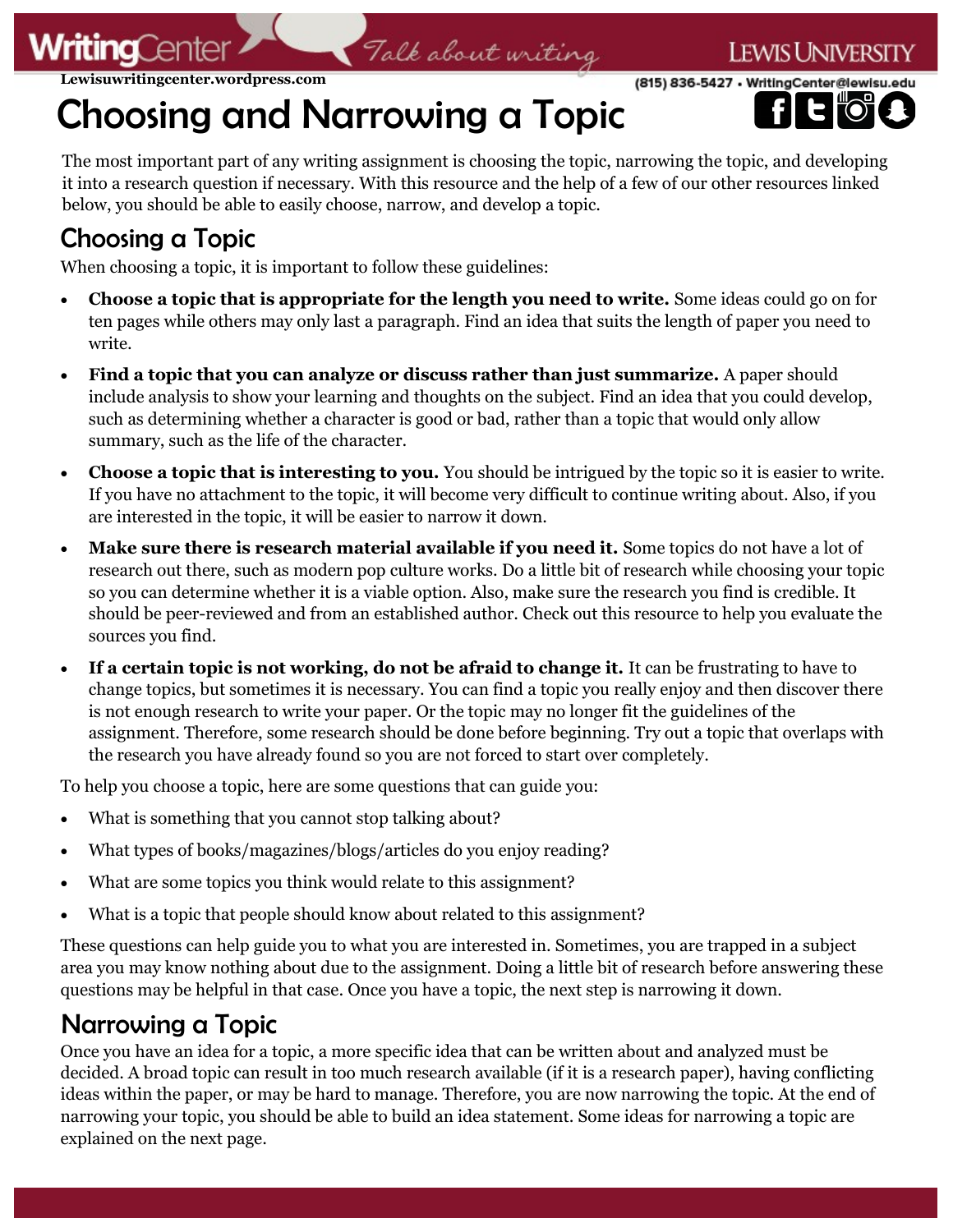#### **Lewisuwritingcenter.wordpress.com**

# Choosing and Narrowing a Topic

(815) 836-5427 · WritingCenter@lewisu.edu

I ewis University

The most important part of any writing assignment is choosing the topic, narrowing the topic, and developing it into a research question if necessary. With this resource and the help of a few of our other resources linked below, you should be able to easily choose, narrow, and develop a topic.

Talk about writing

## Choosing a Topic

When choosing a topic, it is important to follow these guidelines:

- **Choose a topic that is appropriate for the length you need to write.** Some ideas could go on for ten pages while others may only last a paragraph. Find an idea that suits the length of paper you need to write.
- **Find a topic that you can analyze or discuss rather than just summarize.** A paper should include analysis to show your learning and thoughts on the subject. Find an idea that you could develop, such as determining whether a character is good or bad, rather than a topic that would only allow summary, such as the life of the character.
- **Choose a topic that is interesting to you.** You should be intrigued by the topic so it is easier to write. If you have no attachment to the topic, it will become very difficult to continue writing about. Also, if you are interested in the topic, it will be easier to narrow it down.
- Make sure there is research material available if you need it. Some topics do not have a lot of research out there, such as modern pop culture works. Do a little bit of research while choosing your topic so you can determine whether it is a viable option. Also, make sure the research you find is credible. It should be peer-reviewed and from an established author. Check out this resource to help you evaluate the sources you find.
- **If a certain topic is not working, do not be afraid to change it.** It can be frustrating to have to change topics, but sometimes it is necessary. You can find a topic you really enjoy and then discover there is not enough research to write your paper. Or the topic may no longer fit the guidelines of the assignment. Therefore, some research should be done before beginning. Try out a topic that overlaps with the research you have already found so you are not forced to start over completely.

To help you choose a topic, here are some questions that can guide you:

- What is something that you cannot stop talking about?
- What types of books/magazines/blogs/articles do you enjoy reading?
- What are some topics you think would relate to this assignment?
- What is a topic that people should know about related to this assignment?

These questions can help guide you to what you are interested in. Sometimes, you are trapped in a subject area you may know nothing about due to the assignment. Doing a little bit of research before answering these questions may be helpful in that case. Once you have a topic, the next step is narrowing it down.

## Narrowing a Topic

Once you have an idea for a topic, a more specific idea that can be written about and analyzed must be decided. A broad topic can result in too much research available (if it is a research paper), having conflicting ideas within the paper, or may be hard to manage. Therefore, you are now narrowing the topic. At the end of narrowing your topic, you should be able to build an idea statement. Some ideas for narrowing a topic are explained on the next page.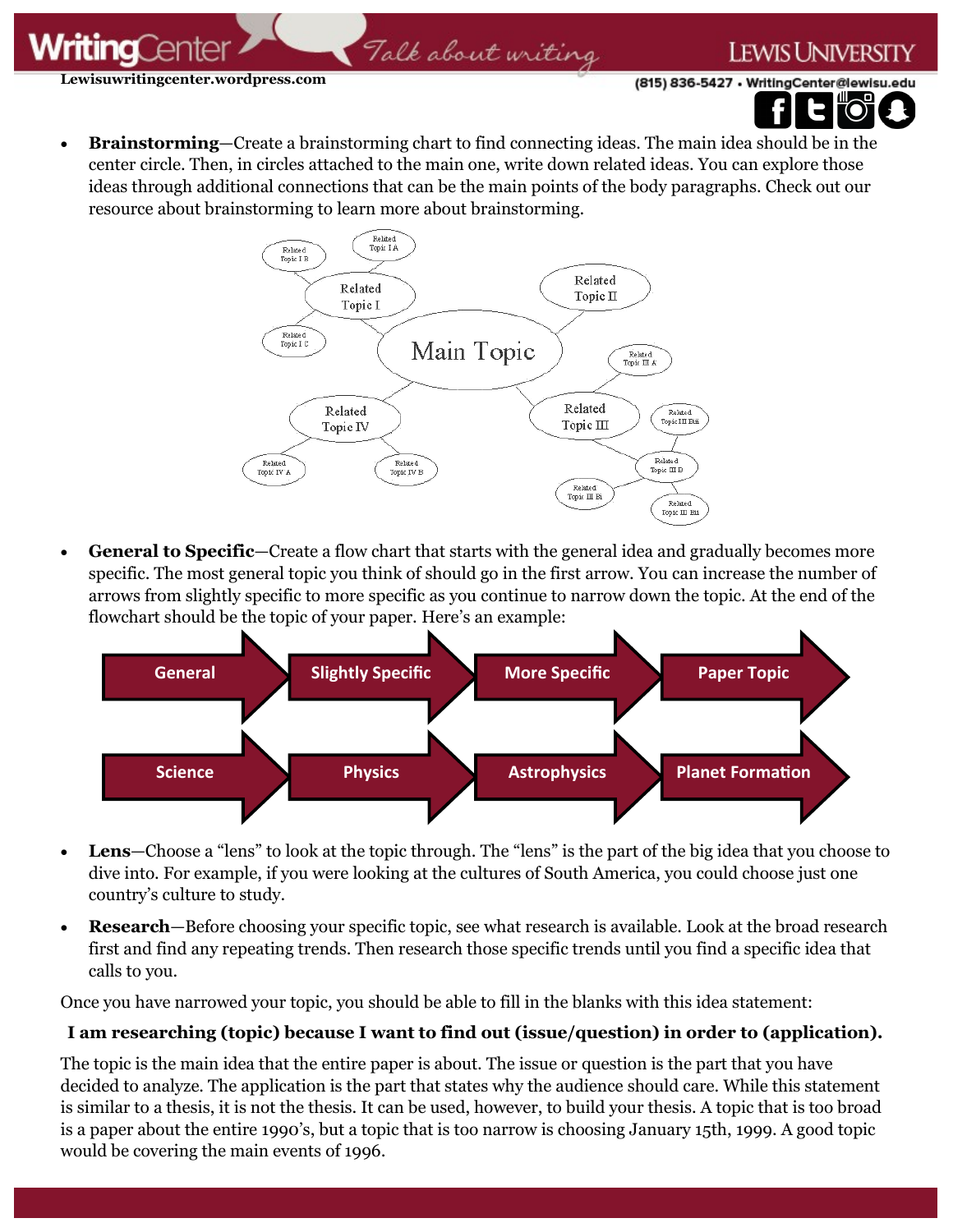**Lewisuwritingcenter.wordpress.com**

**Ina** Ar

(815) 836-5427 · WritingCenter@lewisu.edu



**LEWIS UNIVERSITY** 

• **Brainstorming**—Create a brainstorming chart to find connecting ideas. The main idea should be in the center circle. Then, in circles attached to the main one, write down related ideas. You can explore those ideas through additional connections that can be the main points of the body paragraphs. Check out our resource about brainstorming to learn more about brainstorming.

Talk about writing



• **General to Specific**—Create a flow chart that starts with the general idea and gradually becomes more specific. The most general topic you think of should go in the first arrow. You can increase the number of arrows from slightly specific to more specific as you continue to narrow down the topic. At the end of the flowchart should be the topic of your paper. Here's an example:



- **Lens**—Choose a "lens" to look at the topic through. The "lens" is the part of the big idea that you choose to dive into. For example, if you were looking at the cultures of South America, you could choose just one country's culture to study.
- **Research**—Before choosing your specific topic, see what research is available. Look at the broad research first and find any repeating trends. Then research those specific trends until you find a specific idea that calls to you.

Once you have narrowed your topic, you should be able to fill in the blanks with this idea statement:

### **I am researching (topic) because I want to find out (issue/question) in order to (application).**

The topic is the main idea that the entire paper is about. The issue or question is the part that you have decided to analyze. The application is the part that states why the audience should care. While this statement is similar to a thesis, it is not the thesis. It can be used, however, to build your thesis. A topic that is too broad is a paper about the entire 1990's, but a topic that is too narrow is choosing January 15th, 1999. A good topic would be covering the main events of 1996.